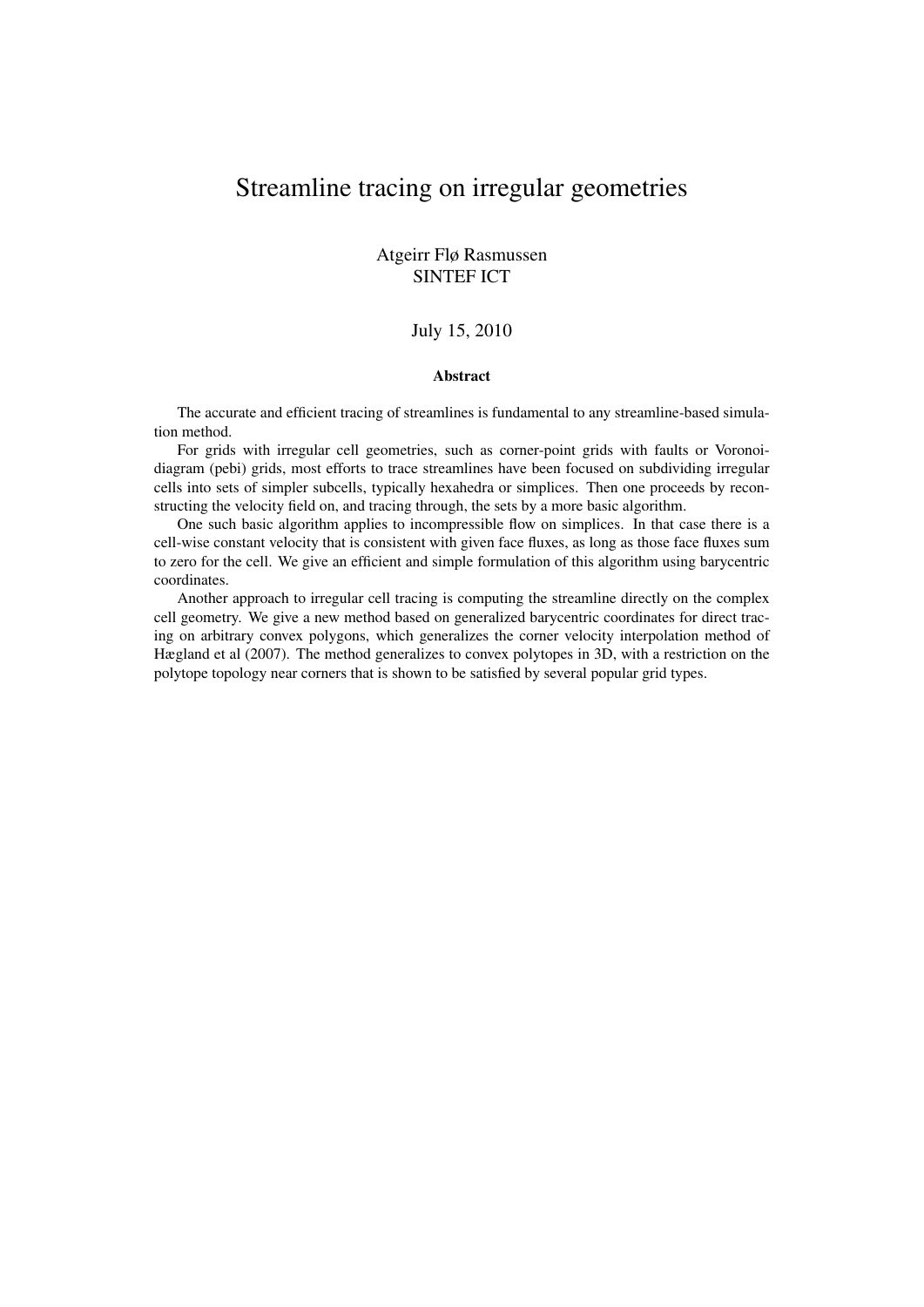# Streamline tracing on irregular geometries

## Atgeirr Flø Rasmussen SINTEF ICT

#### July 15, 2010

#### Abstract

The accurate and efficient tracing of streamlines is fundamental to any streamline-based simulation method.

For grids with irregular cell geometries, such as corner-point grids with faults or Voronoidiagram (pebi) grids, most efforts to trace streamlines have been focused on subdividing irregular cells into sets of simpler subcells, typically hexahedra or simplices. Then one proceeds by reconstructing the velocity field on, and tracing through, the sets by a more basic algorithm.

One such basic algorithm applies to incompressible flow on simplices. In that case there is a cell-wise constant velocity that is consistent with given face fluxes, as long as those face fluxes sum to zero for the cell. We give an efficient and simple formulation of this algorithm using barycentric coordinates.

Another approach to irregular cell tracing is computing the streamline directly on the complex cell geometry. We give a new method based on generalized barycentric coordinates for direct tracing on arbitrary convex polygons, which generalizes the corner velocity interpolation method of Hægland et al (2007). The method generalizes to convex polytopes in 3D, with a restriction on the polytope topology near corners that is shown to be satisfied by several popular grid types.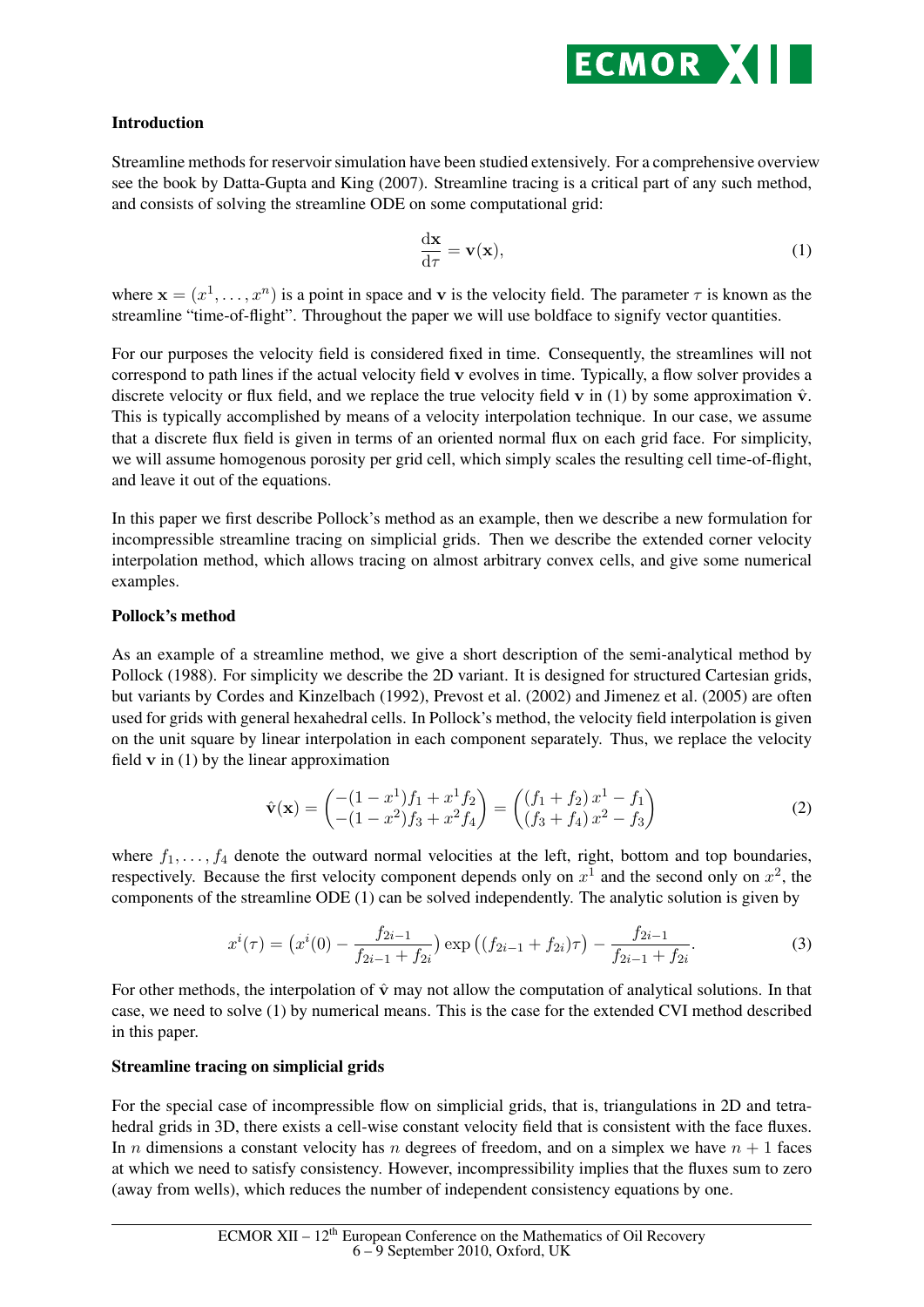

# Introduction

Streamline methods for reservoir simulation have been studied extensively. For a comprehensive overview see the book by Datta-Gupta and King (2007). Streamline tracing is a critical part of any such method, and consists of solving the streamline ODE on some computational grid:

$$
\frac{\mathrm{d}\mathbf{x}}{\mathrm{d}\tau} = \mathbf{v}(\mathbf{x}),\tag{1}
$$

where  $\mathbf{x} = (x^1, \dots, x^n)$  is a point in space and v is the velocity field. The parameter  $\tau$  is known as the streamline "time-of-flight". Throughout the paper we will use boldface to signify vector quantities.

For our purposes the velocity field is considered fixed in time. Consequently, the streamlines will not correspond to path lines if the actual velocity field v evolves in time. Typically, a flow solver provides a discrete velocity or flux field, and we replace the true velocity field v in (1) by some approximation  $\hat{v}$ . This is typically accomplished by means of a velocity interpolation technique. In our case, we assume that a discrete flux field is given in terms of an oriented normal flux on each grid face. For simplicity, we will assume homogenous porosity per grid cell, which simply scales the resulting cell time-of-flight, and leave it out of the equations.

In this paper we first describe Pollock's method as an example, then we describe a new formulation for incompressible streamline tracing on simplicial grids. Then we describe the extended corner velocity interpolation method, which allows tracing on almost arbitrary convex cells, and give some numerical examples.

## Pollock's method

As an example of a streamline method, we give a short description of the semi-analytical method by Pollock (1988). For simplicity we describe the 2D variant. It is designed for structured Cartesian grids, but variants by Cordes and Kinzelbach (1992), Prevost et al. (2002) and Jimenez et al. (2005) are often used for grids with general hexahedral cells. In Pollock's method, the velocity field interpolation is given on the unit square by linear interpolation in each component separately. Thus, we replace the velocity field  $\bf{v}$  in (1) by the linear approximation

$$
\hat{\mathbf{v}}(\mathbf{x}) = \begin{pmatrix} -(1-x^1)f_1 + x^1f_2 \\ -(1-x^2)f_3 + x^2f_4 \end{pmatrix} = \begin{pmatrix} (f_1+f_2)x^1 - f_1 \\ (f_3+f_4)x^2 - f_3 \end{pmatrix}
$$
(2)

where  $f_1, \ldots, f_4$  denote the outward normal velocities at the left, right, bottom and top boundaries, respectively. Because the first velocity component depends only on  $x^1$  and the second only on  $x^2$ , the components of the streamline ODE (1) can be solved independently. The analytic solution is given by

$$
x^{i}(\tau) = \left(x^{i}(0) - \frac{f_{2i-1}}{f_{2i-1} + f_{2i}}\right) \exp\left((f_{2i-1} + f_{2i})\tau\right) - \frac{f_{2i-1}}{f_{2i-1} + f_{2i}}.\tag{3}
$$

For other methods, the interpolation of  $\hat{v}$  may not allow the computation of analytical solutions. In that case, we need to solve (1) by numerical means. This is the case for the extended CVI method described in this paper.

## Streamline tracing on simplicial grids

For the special case of incompressible flow on simplicial grids, that is, triangulations in 2D and tetrahedral grids in 3D, there exists a cell-wise constant velocity field that is consistent with the face fluxes. In *n* dimensions a constant velocity has *n* degrees of freedom, and on a simplex we have  $n + 1$  faces at which we need to satisfy consistency. However, incompressibility implies that the fluxes sum to zero (away from wells), which reduces the number of independent consistency equations by one.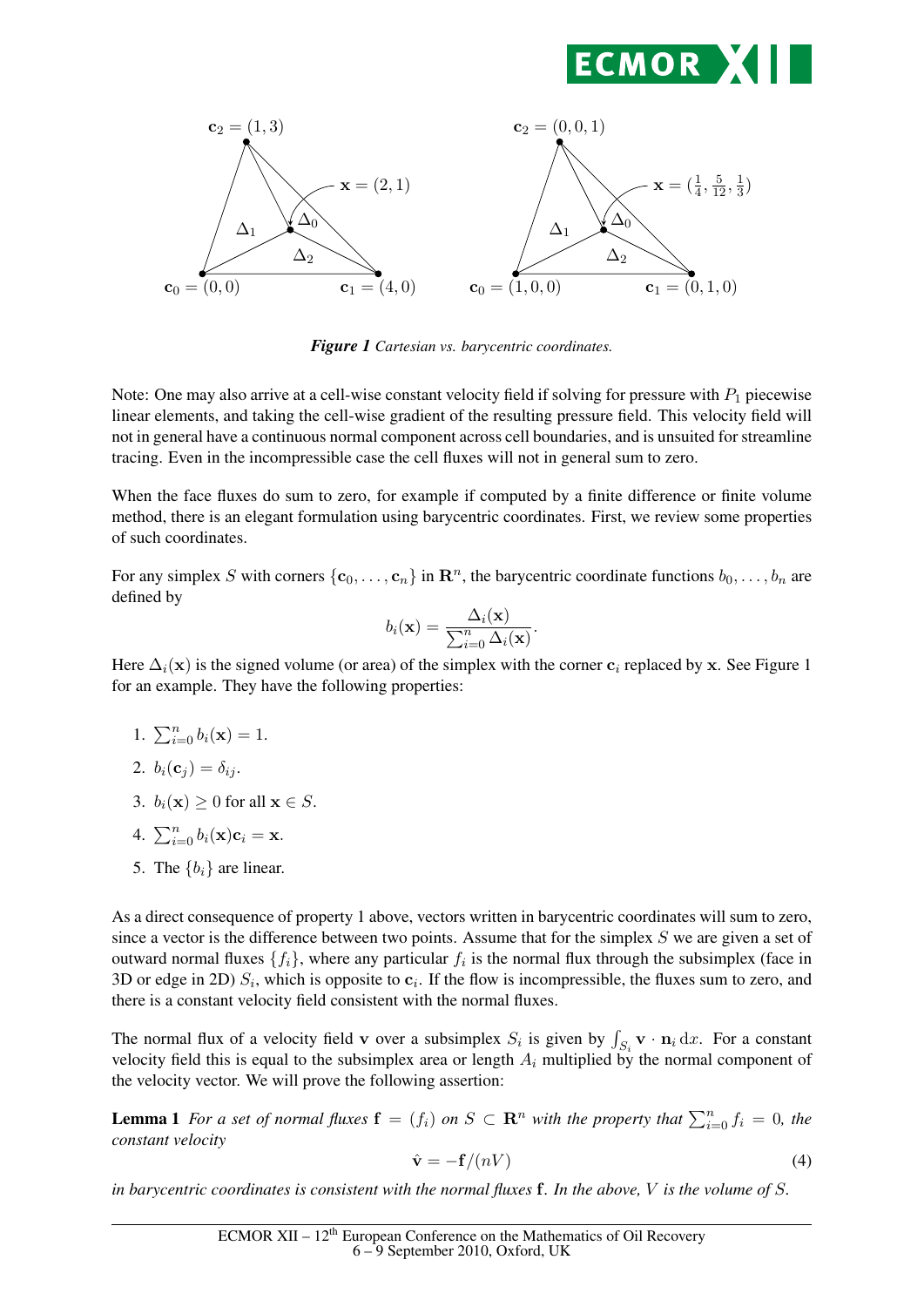



*Figure 1 Cartesian vs. barycentric coordinates.*

Note: One may also arrive at a cell-wise constant velocity field if solving for pressure with  $P_1$  piecewise linear elements, and taking the cell-wise gradient of the resulting pressure field. This velocity field will not in general have a continuous normal component across cell boundaries, and is unsuited for streamline tracing. Even in the incompressible case the cell fluxes will not in general sum to zero.

When the face fluxes do sum to zero, for example if computed by a finite difference or finite volume method, there is an elegant formulation using barycentric coordinates. First, we review some properties of such coordinates.

For any simplex S with corners  $\{c_0, \ldots, c_n\}$  in  $\mathbb{R}^n$ , the barycentric coordinate functions  $b_0, \ldots, b_n$  are defined by

$$
b_i(\mathbf{x}) = \frac{\Delta_i(\mathbf{x})}{\sum_{i=0}^n \Delta_i(\mathbf{x})}.
$$

Here  $\Delta_i(\mathbf{x})$  is the signed volume (or area) of the simplex with the corner  $\mathbf{c}_i$  replaced by x. See Figure 1 for an example. They have the following properties:

1.  $\sum_{i=0}^{n} b_i(\mathbf{x}) = 1$ .

2. 
$$
b_i(\mathbf{c}_j) = \delta_{ij}
$$
.

- 3.  $b_i(\mathbf{x}) > 0$  for all  $\mathbf{x} \in S$ .
- 4.  $\sum_{i=0}^{n} b_i({\bf x}){\bf c}_i={\bf x}.$
- 5. The  ${b_i}$  are linear.

As a direct consequence of property 1 above, vectors written in barycentric coordinates will sum to zero, since a vector is the difference between two points. Assume that for the simplex  $S$  we are given a set of outward normal fluxes  $\{f_i\}$ , where any particular  $f_i$  is the normal flux through the subsimplex (face in 3D or edge in 2D)  $S_i$ , which is opposite to  $c_i$ . If the flow is incompressible, the fluxes sum to zero, and there is a constant velocity field consistent with the normal fluxes.

The normal flux of a velocity field v over a subsimplex  $S_i$  is given by  $\int_{S_i} \mathbf{v} \cdot \mathbf{n}_i dx$ . For a constant velocity field this is equal to the subsimplex area or length  $A_i$  multiplied by the normal component of the velocity vector. We will prove the following assertion:

**Lemma 1** For a set of normal fluxes  $\mathbf{f} = (f_i)$  on  $S \subset \mathbf{R}^n$  with the property that  $\sum_{i=0}^n f_i = 0$ , the *constant velocity*

$$
\hat{\mathbf{v}} = -\mathbf{f}/(nV) \tag{4}
$$

*in barycentric coordinates is consistent with the normal fluxes* f*. In the above,* V *is the volume of* S*.*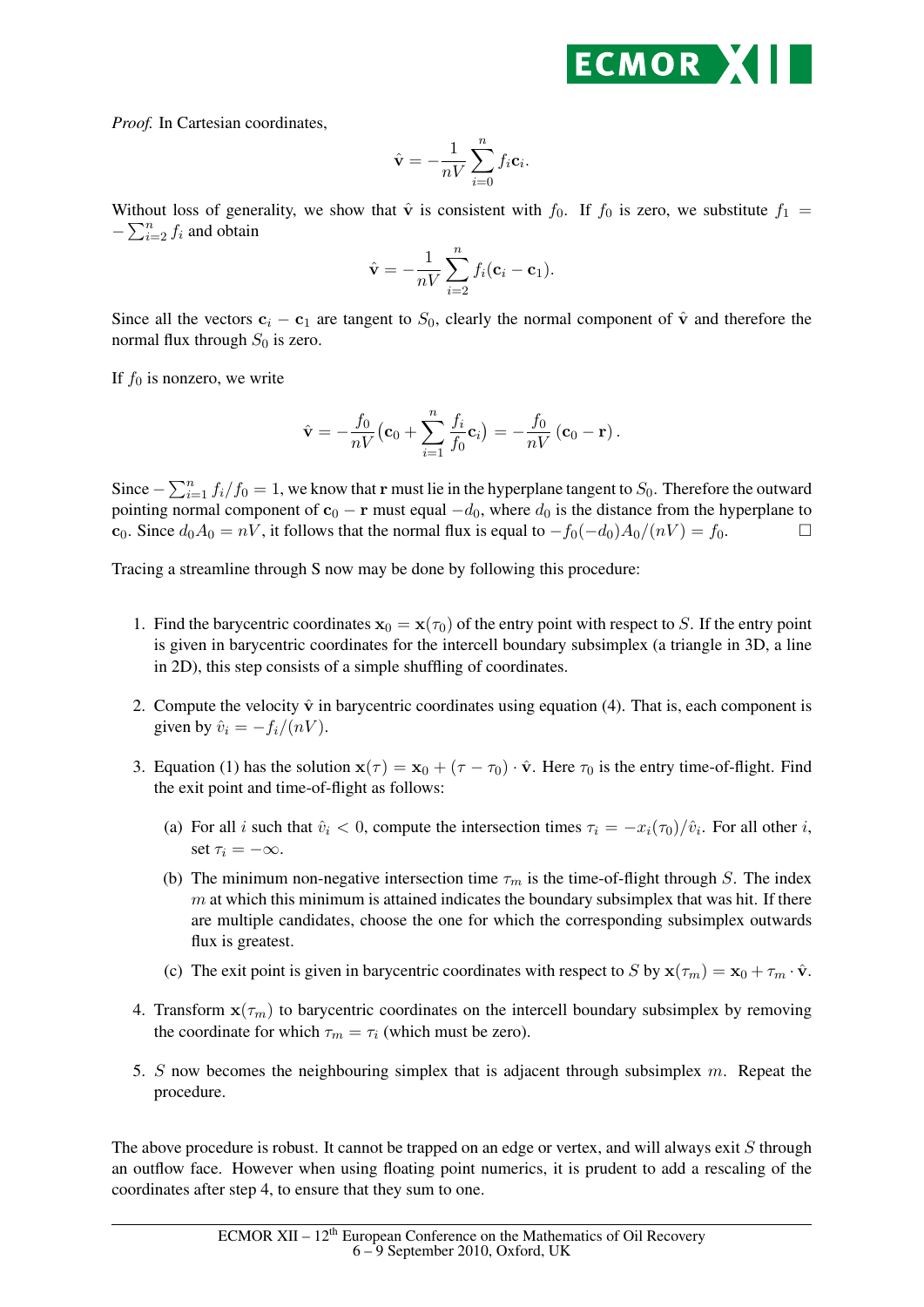

*Proof.* In Cartesian coordinates,

$$
\hat{\mathbf{v}} = -\frac{1}{nV} \sum_{i=0}^{n} f_i \mathbf{c}_i.
$$

Without loss of generality, we show that  $\hat{v}$  is consistent with  $f_0$ . If  $f_0$  is zero, we substitute  $f_1$  =  $-\sum_{i=2}^{n} f_i$  and obtain

$$
\hat{\mathbf{v}} = -\frac{1}{nV} \sum_{i=2}^{n} f_i(\mathbf{c}_i - \mathbf{c}_1).
$$

Since all the vectors  $c_i - c_1$  are tangent to  $S_0$ , clearly the normal component of  $\hat{v}$  and therefore the normal flux through  $S_0$  is zero.

If  $f_0$  is nonzero, we write

$$
\hat{\mathbf{v}} = -\frac{f_0}{nV}(\mathbf{c}_0 + \sum_{i=1}^n \frac{f_i}{f_0}\mathbf{c}_i) = -\frac{f_0}{nV}(\mathbf{c}_0 - \mathbf{r}).
$$

Since  $-\sum_{i=1}^{n} f_i/f_0 = 1$ , we know that r must lie in the hyperplane tangent to  $S_0$ . Therefore the outward pointing normal component of  $c_0 - r$  must equal  $-d_0$ , where  $d_0$  is the distance from the hyperplane to c<sub>0</sub>. Since  $d_0A_0 = nV$ , it follows that the normal flux is equal to  $-f_0(-d_0)A_0/(nV) = f_0$ .

Tracing a streamline through S now may be done by following this procedure:

- 1. Find the barycentric coordinates  $x_0 = x(\tau_0)$  of the entry point with respect to S. If the entry point is given in barycentric coordinates for the intercell boundary subsimplex (a triangle in 3D, a line in 2D), this step consists of a simple shuffling of coordinates.
- 2. Compute the velocity  $\hat{v}$  in barycentric coordinates using equation (4). That is, each component is given by  $\hat{v}_i = -f_i/(nV)$ .
- 3. Equation (1) has the solution  $\mathbf{x}(\tau) = \mathbf{x}_0 + (\tau \tau_0) \cdot \hat{\mathbf{v}}$ . Here  $\tau_0$  is the entry time-of-flight. Find the exit point and time-of-flight as follows:
	- (a) For all i such that  $\hat{v}_i < 0$ , compute the intersection times  $\tau_i = -x_i(\tau_0)/\hat{v}_i$ . For all other i, set  $\tau_i = -\infty$ .
	- (b) The minimum non-negative intersection time  $\tau_m$  is the time-of-flight through S. The index  $m$  at which this minimum is attained indicates the boundary subsimplex that was hit. If there are multiple candidates, choose the one for which the corresponding subsimplex outwards flux is greatest.
	- (c) The exit point is given in barycentric coordinates with respect to S by  $\mathbf{x}(\tau_m) = \mathbf{x}_0 + \tau_m \cdot \hat{\mathbf{v}}$ .
- 4. Transform  $\mathbf{x}(\tau_m)$  to barycentric coordinates on the intercell boundary subsimplex by removing the coordinate for which  $\tau_m = \tau_i$  (which must be zero).
- 5. S now becomes the neighbouring simplex that is adjacent through subsimplex m. Repeat the procedure.

The above procedure is robust. It cannot be trapped on an edge or vertex, and will always exit S through an outflow face. However when using floating point numerics, it is prudent to add a rescaling of the coordinates after step 4, to ensure that they sum to one.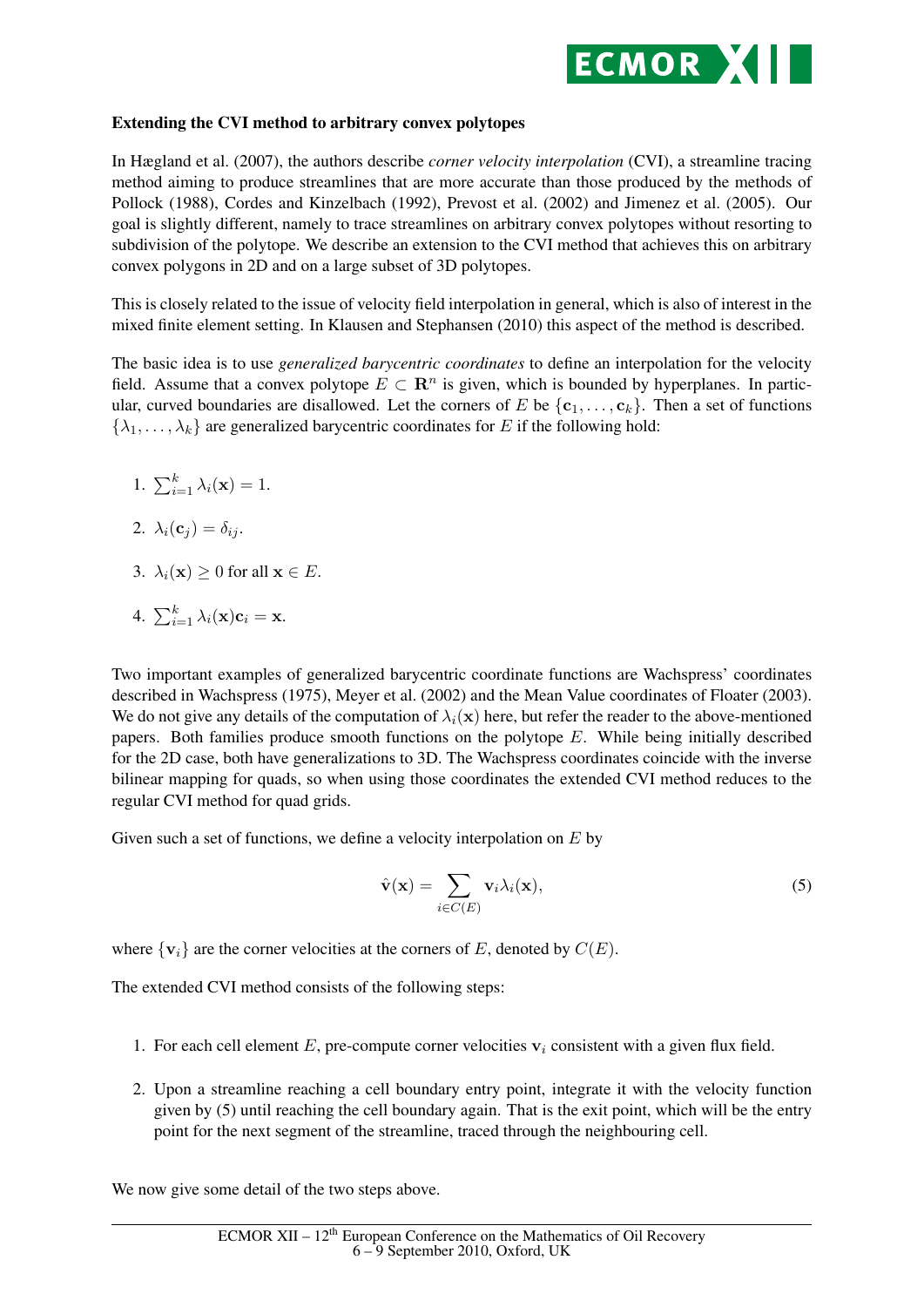

## Extending the CVI method to arbitrary convex polytopes

In Hægland et al. (2007), the authors describe *corner velocity interpolation* (CVI), a streamline tracing method aiming to produce streamlines that are more accurate than those produced by the methods of Pollock (1988), Cordes and Kinzelbach (1992), Prevost et al. (2002) and Jimenez et al. (2005). Our goal is slightly different, namely to trace streamlines on arbitrary convex polytopes without resorting to subdivision of the polytope. We describe an extension to the CVI method that achieves this on arbitrary convex polygons in 2D and on a large subset of 3D polytopes.

This is closely related to the issue of velocity field interpolation in general, which is also of interest in the mixed finite element setting. In Klausen and Stephansen (2010) this aspect of the method is described.

The basic idea is to use *generalized barycentric coordinates* to define an interpolation for the velocity field. Assume that a convex polytope  $E \subset \mathbb{R}^n$  is given, which is bounded by hyperplanes. In particular, curved boundaries are disallowed. Let the corners of E be  $\{c_1, \ldots, c_k\}$ . Then a set of functions  $\{\lambda_1, \ldots, \lambda_k\}$  are generalized barycentric coordinates for E if the following hold:

- 1.  $\sum_{i=1}^{k} \lambda_i(\mathbf{x}) = 1$ .
- 2.  $\lambda_i(\mathbf{c}_i) = \delta_{ij}$ .
- 3.  $\lambda_i(\mathbf{x}) > 0$  for all  $\mathbf{x} \in E$ .
- 4.  $\sum_{i=1}^k \lambda_i(\mathbf{x})\mathbf{c}_i = \mathbf{x}$ .

Two important examples of generalized barycentric coordinate functions are Wachspress' coordinates described in Wachspress (1975), Meyer et al. (2002) and the Mean Value coordinates of Floater (2003). We do not give any details of the computation of  $\lambda_i(\mathbf{x})$  here, but refer the reader to the above-mentioned papers. Both families produce smooth functions on the polytope E. While being initially described for the 2D case, both have generalizations to 3D. The Wachspress coordinates coincide with the inverse bilinear mapping for quads, so when using those coordinates the extended CVI method reduces to the regular CVI method for quad grids.

Given such a set of functions, we define a velocity interpolation on  $E$  by

$$
\hat{\mathbf{v}}(\mathbf{x}) = \sum_{i \in C(E)} \mathbf{v}_i \lambda_i(\mathbf{x}),\tag{5}
$$

where  $\{v_i\}$  are the corner velocities at the corners of E, denoted by  $C(E)$ .

The extended CVI method consists of the following steps:

- 1. For each cell element E, pre-compute corner velocities  $v_i$  consistent with a given flux field.
- 2. Upon a streamline reaching a cell boundary entry point, integrate it with the velocity function given by (5) until reaching the cell boundary again. That is the exit point, which will be the entry point for the next segment of the streamline, traced through the neighbouring cell.

We now give some detail of the two steps above.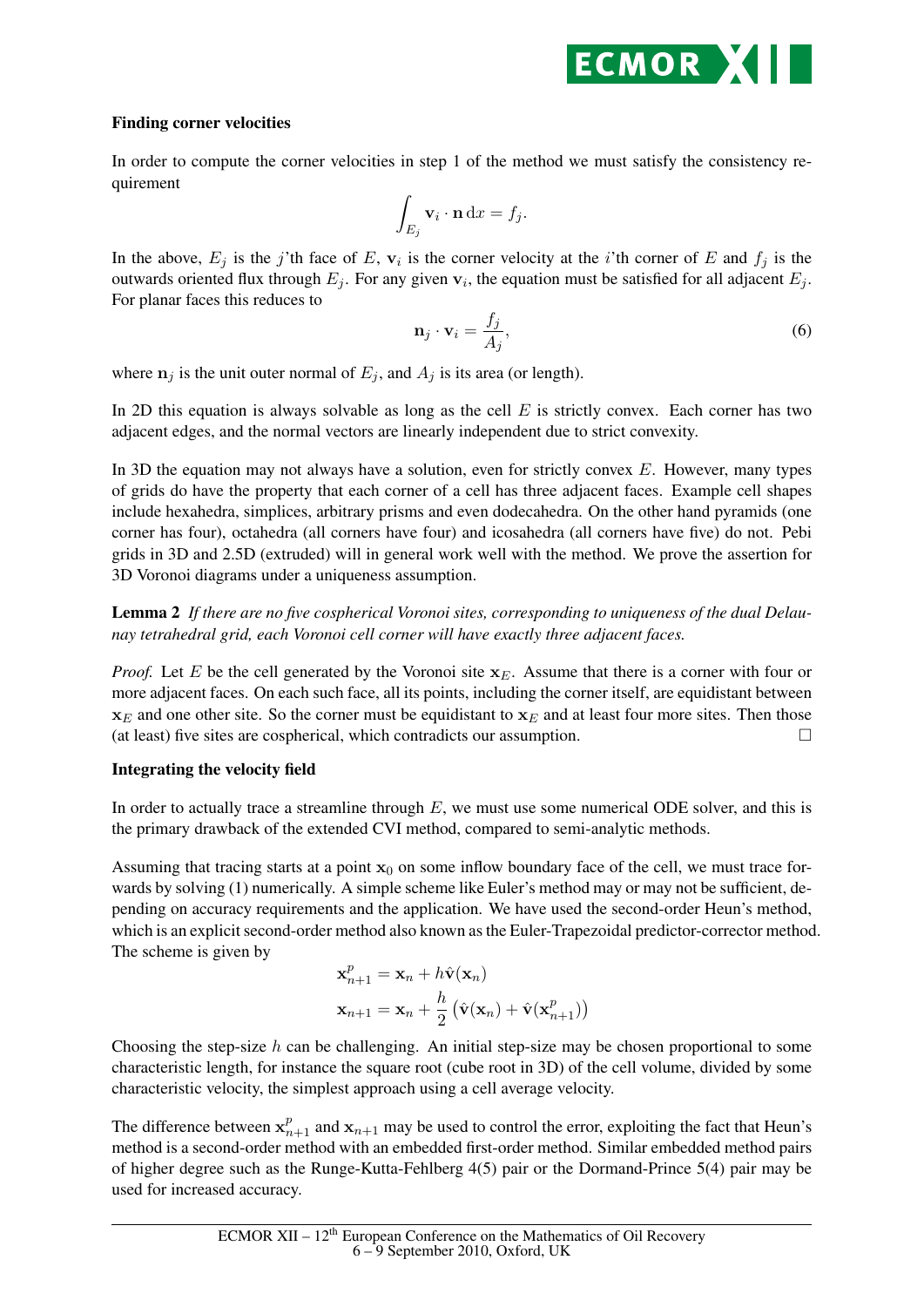

## Finding corner velocities

In order to compute the corner velocities in step 1 of the method we must satisfy the consistency requirement

$$
\int_{E_j} \mathbf{v}_i \cdot \mathbf{n} \, \mathrm{d}x = f_j.
$$

In the above,  $E_j$  is the j'th face of E,  $v_i$  is the corner velocity at the *i*'th corner of E and  $f_j$  is the outwards oriented flux through  $E_j$ . For any given  $v_i$ , the equation must be satisfied for all adjacent  $E_j$ . For planar faces this reduces to

$$
\mathbf{n}_j \cdot \mathbf{v}_i = \frac{f_j}{A_j},\tag{6}
$$

where  $n_i$  is the unit outer normal of  $E_i$ , and  $A_i$  is its area (or length).

In 2D this equation is always solvable as long as the cell  $E$  is strictly convex. Each corner has two adjacent edges, and the normal vectors are linearly independent due to strict convexity.

In 3D the equation may not always have a solution, even for strictly convex  $E$ . However, many types of grids do have the property that each corner of a cell has three adjacent faces. Example cell shapes include hexahedra, simplices, arbitrary prisms and even dodecahedra. On the other hand pyramids (one corner has four), octahedra (all corners have four) and icosahedra (all corners have five) do not. Pebi grids in 3D and 2.5D (extruded) will in general work well with the method. We prove the assertion for 3D Voronoi diagrams under a uniqueness assumption.

Lemma 2 *If there are no five cospherical Voronoi sites, corresponding to uniqueness of the dual Delaunay tetrahedral grid, each Voronoi cell corner will have exactly three adjacent faces.*

*Proof.* Let E be the cell generated by the Voronoi site  $x_E$ . Assume that there is a corner with four or more adjacent faces. On each such face, all its points, including the corner itself, are equidistant between  $x_E$  and one other site. So the corner must be equidistant to  $x_E$  and at least four more sites. Then those (at least) five sites are cospherical, which contradicts our assumption.  $\Box$ 

## Integrating the velocity field

In order to actually trace a streamline through  $E$ , we must use some numerical ODE solver, and this is the primary drawback of the extended CVI method, compared to semi-analytic methods.

Assuming that tracing starts at a point  $x_0$  on some inflow boundary face of the cell, we must trace forwards by solving (1) numerically. A simple scheme like Euler's method may or may not be sufficient, depending on accuracy requirements and the application. We have used the second-order Heun's method, which is an explicit second-order method also known as the Euler-Trapezoidal predictor-corrector method. The scheme is given by

$$
\mathbf{x}_{n+1}^p = \mathbf{x}_n + h\hat{\mathbf{v}}(\mathbf{x}_n)
$$

$$
\mathbf{x}_{n+1} = \mathbf{x}_n + \frac{h}{2} (\hat{\mathbf{v}}(\mathbf{x}_n) + \hat{\mathbf{v}}(\mathbf{x}_{n+1}^p))
$$

Choosing the step-size  $h$  can be challenging. An initial step-size may be chosen proportional to some characteristic length, for instance the square root (cube root in 3D) of the cell volume, divided by some characteristic velocity, the simplest approach using a cell average velocity.

The difference between  $x_{n+1}^p$  and  $x_{n+1}$  may be used to control the error, exploiting the fact that Heun's method is a second-order method with an embedded first-order method. Similar embedded method pairs of higher degree such as the Runge-Kutta-Fehlberg 4(5) pair or the Dormand-Prince 5(4) pair may be used for increased accuracy.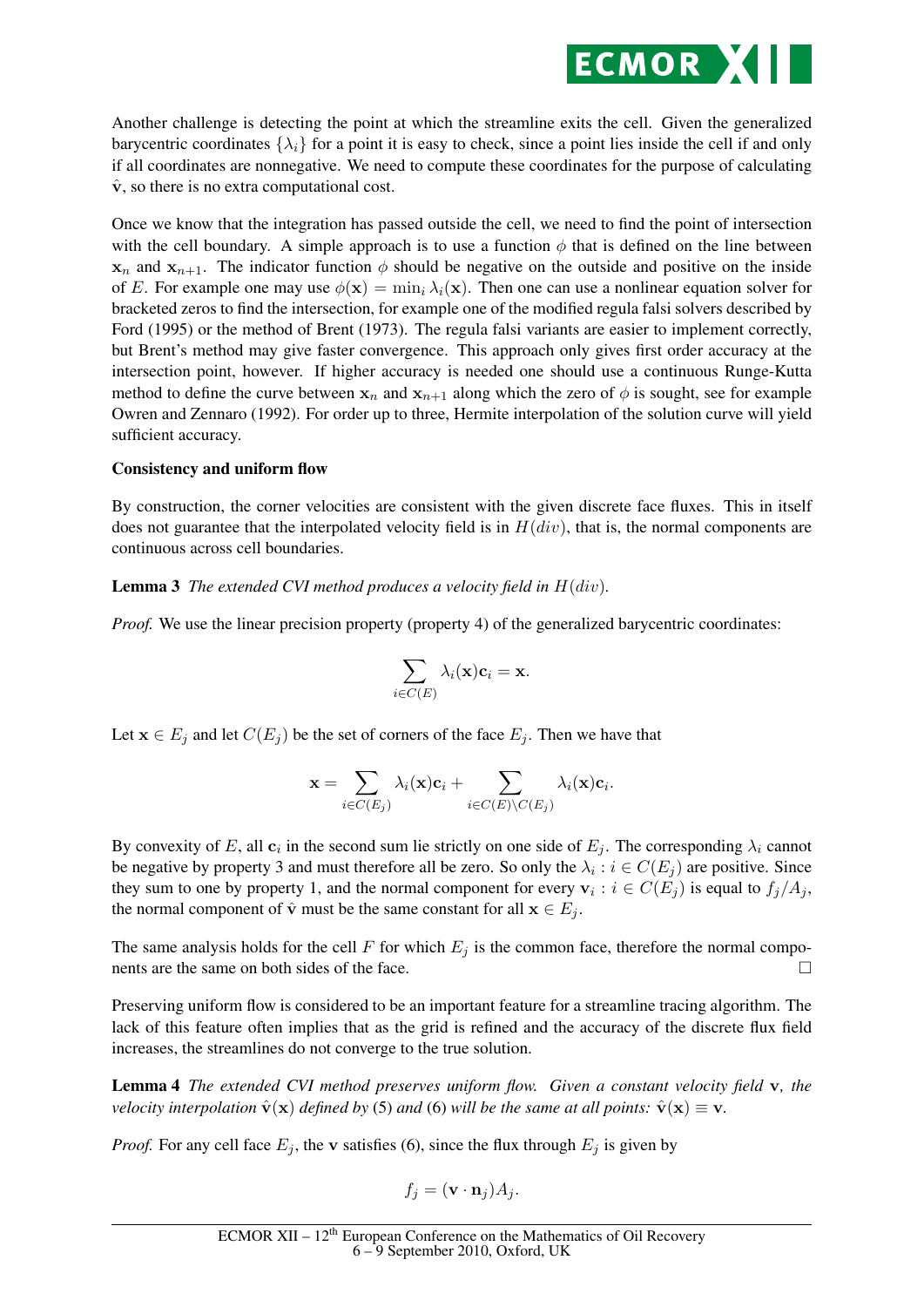

Another challenge is detecting the point at which the streamline exits the cell. Given the generalized barycentric coordinates  $\{\lambda_i\}$  for a point it is easy to check, since a point lies inside the cell if and only if all coordinates are nonnegative. We need to compute these coordinates for the purpose of calculating  $\hat{\mathbf{v}}$ , so there is no extra computational cost.

Once we know that the integration has passed outside the cell, we need to find the point of intersection with the cell boundary. A simple approach is to use a function  $\phi$  that is defined on the line between  $x_n$  and  $x_{n+1}$ . The indicator function  $\phi$  should be negative on the outside and positive on the inside of E. For example one may use  $\phi(\mathbf{x}) = \min_i \lambda_i(\mathbf{x})$ . Then one can use a nonlinear equation solver for bracketed zeros to find the intersection, for example one of the modified regula falsi solvers described by Ford (1995) or the method of Brent (1973). The regula falsi variants are easier to implement correctly, but Brent's method may give faster convergence. This approach only gives first order accuracy at the intersection point, however. If higher accuracy is needed one should use a continuous Runge-Kutta method to define the curve between  $x_n$  and  $x_{n+1}$  along which the zero of  $\phi$  is sought, see for example Owren and Zennaro (1992). For order up to three, Hermite interpolation of the solution curve will yield sufficient accuracy.

#### Consistency and uniform flow

By construction, the corner velocities are consistent with the given discrete face fluxes. This in itself does not guarantee that the interpolated velocity field is in  $H(div)$ , that is, the normal components are continuous across cell boundaries.

## Lemma 3 *The extended CVI method produces a velocity field in* H(div)*.*

*Proof.* We use the linear precision property (property 4) of the generalized barycentric coordinates:

$$
\sum_{i \in C(E)} \lambda_i(\mathbf{x}) \mathbf{c}_i = \mathbf{x}.
$$

Let  $x \in E_j$  and let  $C(E_j)$  be the set of corners of the face  $E_j$ . Then we have that

$$
\mathbf{x} = \sum_{i \in C(E_j)} \lambda_i(\mathbf{x}) \mathbf{c}_i + \sum_{i \in C(E) \setminus C(E_j)} \lambda_i(\mathbf{x}) \mathbf{c}_i.
$$

By convexity of E, all  $c_i$  in the second sum lie strictly on one side of  $E_j$ . The corresponding  $\lambda_i$  cannot be negative by property 3 and must therefore all be zero. So only the  $\lambda_i : i \in C(E_j)$  are positive. Since they sum to one by property 1, and the normal component for every  $v_i : i \in C(E_j)$  is equal to  $f_j/A_j$ , the normal component of  $\hat{v}$  must be the same constant for all  $x \in E_i$ .

The same analysis holds for the cell F for which  $E_j$  is the common face, therefore the normal components are the same on both sides of the face.

Preserving uniform flow is considered to be an important feature for a streamline tracing algorithm. The lack of this feature often implies that as the grid is refined and the accuracy of the discrete flux field increases, the streamlines do not converge to the true solution.

Lemma 4 *The extended CVI method preserves uniform flow. Given a constant velocity field* v*, the velocity interpolation*  $\hat{\mathbf{v}}(\mathbf{x})$  *defined by* (5) *and* (6) *will be the same at all points:*  $\hat{\mathbf{v}}(\mathbf{x}) \equiv \mathbf{v}$ .

*Proof.* For any cell face  $E_i$ , the v satisfies (6), since the flux through  $E_i$  is given by

$$
f_j = (\mathbf{v} \cdot \mathbf{n}_j) A_j.
$$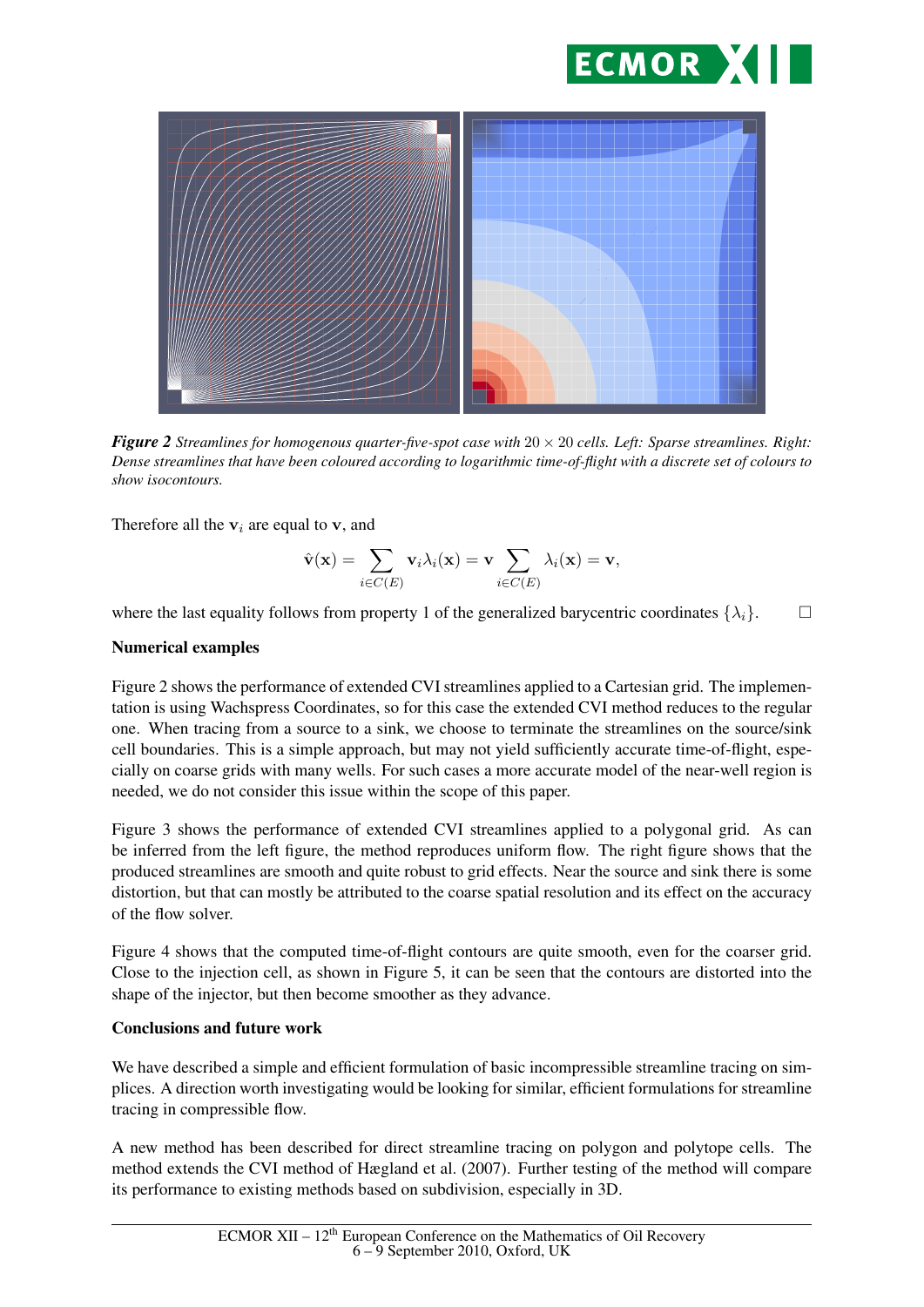



*Figure 2 Streamlines for homogenous quarter-five-spot case with* 20 × 20 *cells. Left: Sparse streamlines. Right: Dense streamlines that have been coloured according to logarithmic time-of-flight with a discrete set of colours to show isocontours.*

Therefore all the  $v_i$  are equal to  $v$ , and

$$
\hat{\mathbf{v}}(\mathbf{x}) = \sum_{i \in C(E)} \mathbf{v}_i \lambda_i(\mathbf{x}) = \mathbf{v} \sum_{i \in C(E)} \lambda_i(\mathbf{x}) = \mathbf{v},
$$

where the last equality follows from property 1 of the generalized barycentric coordinates  $\{\lambda_i\}$ .

#### Numerical examples

Figure 2 shows the performance of extended CVI streamlines applied to a Cartesian grid. The implementation is using Wachspress Coordinates, so for this case the extended CVI method reduces to the regular one. When tracing from a source to a sink, we choose to terminate the streamlines on the source/sink cell boundaries. This is a simple approach, but may not yield sufficiently accurate time-of-flight, especially on coarse grids with many wells. For such cases a more accurate model of the near-well region is needed, we do not consider this issue within the scope of this paper.

Figure 3 shows the performance of extended CVI streamlines applied to a polygonal grid. As can be inferred from the left figure, the method reproduces uniform flow. The right figure shows that the produced streamlines are smooth and quite robust to grid effects. Near the source and sink there is some distortion, but that can mostly be attributed to the coarse spatial resolution and its effect on the accuracy of the flow solver.

Figure 4 shows that the computed time-of-flight contours are quite smooth, even for the coarser grid. Close to the injection cell, as shown in Figure 5, it can be seen that the contours are distorted into the shape of the injector, but then become smoother as they advance.

## Conclusions and future work

We have described a simple and efficient formulation of basic incompressible streamline tracing on simplices. A direction worth investigating would be looking for similar, efficient formulations for streamline tracing in compressible flow.

A new method has been described for direct streamline tracing on polygon and polytope cells. The method extends the CVI method of Hægland et al. (2007). Further testing of the method will compare its performance to existing methods based on subdivision, especially in 3D.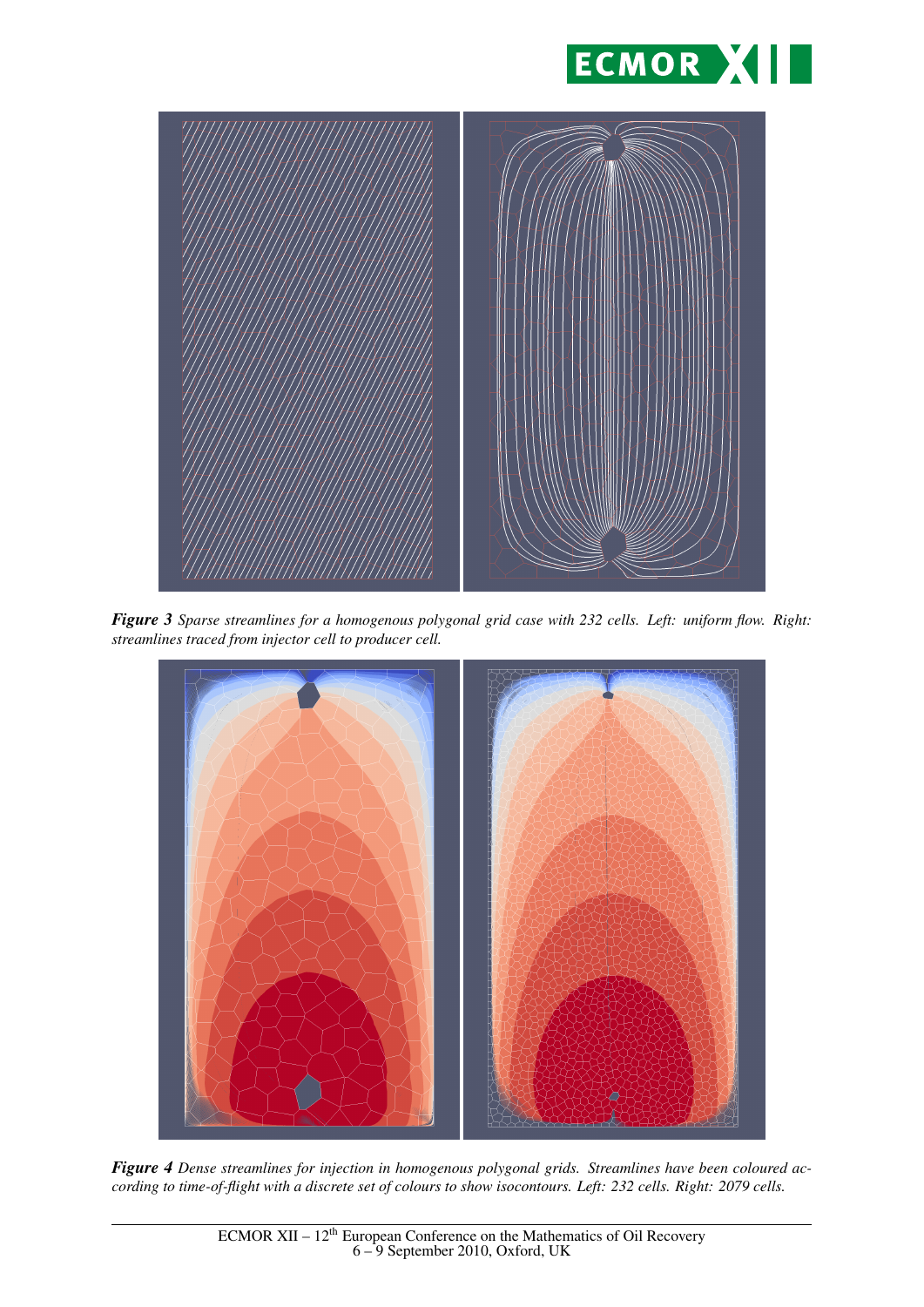



*Figure 3 Sparse streamlines for a homogenous polygonal grid case with 232 cells. Left: uniform flow. Right: streamlines traced from injector cell to producer cell.*



*Figure 4 Dense streamlines for injection in homogenous polygonal grids. Streamlines have been coloured according to time-of-flight with a discrete set of colours to show isocontours. Left: 232 cells. Right: 2079 cells.*